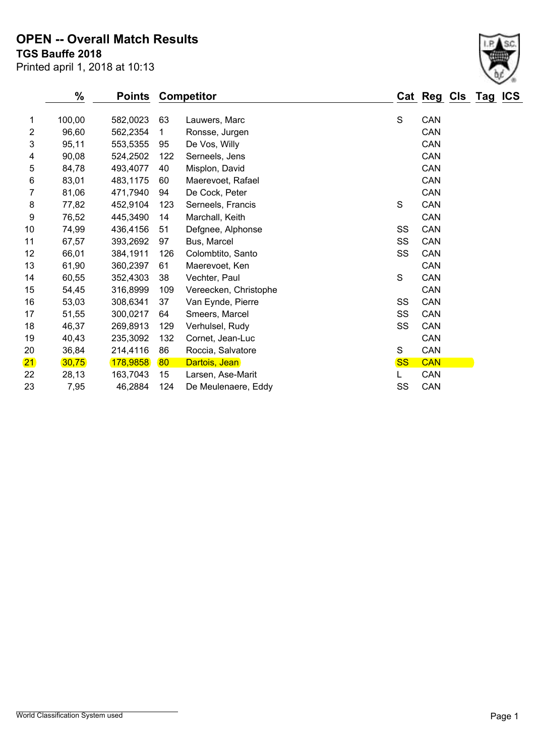#### **TGS Bauffe 2018 OPEN -- Overall Match Results**

|                | %        | <b>Points</b> | <b>Competitor</b> |                       |               | Cat Reg Cls Tag |  | <b>ICS</b> |
|----------------|----------|---------------|-------------------|-----------------------|---------------|-----------------|--|------------|
| 1              | 100,00   | 582,0023      | 63                | Lauwers, Marc         | ${\mathsf S}$ | CAN             |  |            |
| $\overline{2}$ | 96,60    | 562,2354      | 1                 | Ronsse, Jurgen        |               | CAN             |  |            |
| 3              | 95,11    | 553,5355      | 95                | De Vos, Willy         |               | CAN             |  |            |
| 4              | 90,08    | 524,2502      | 122               | Serneels, Jens        |               | CAN             |  |            |
| 5              | 84,78    | 493,4077      | 40                | Misplon, David        |               | CAN             |  |            |
| 6              | 83,01    | 483,1175      | 60                | Maerevoet, Rafael     |               | CAN             |  |            |
| 7              | 81,06    | 471,7940      | 94                | De Cock, Peter        |               | CAN             |  |            |
| 8              | 77,82    | 452,9104      | 123               | Serneels, Francis     | S             | CAN             |  |            |
| 9              | 76,52    | 445,3490      | 14                | Marchall, Keith       |               | CAN             |  |            |
| 10             | 74,99    | 436,4156      | 51                | Defgnee, Alphonse     | SS            | CAN             |  |            |
| 11             | 67,57    | 393,2692      | 97                | Bus, Marcel           | SS            | CAN             |  |            |
| 12             | 66,01    | 384,1911      | 126               | Colombtito, Santo     | SS            | CAN             |  |            |
| 13             | 61,90    | 360,2397      | 61                | Maerevoet, Ken        |               | CAN             |  |            |
| 14             | 60,55    | 352,4303      | 38                | Vechter, Paul         | S             | CAN             |  |            |
| 15             | 54,45    | 316,8999      | 109               | Vereecken, Christophe |               | CAN             |  |            |
| 16             | 53,03    | 308,6341      | 37                | Van Eynde, Pierre     | SS            | CAN             |  |            |
| 17             | 51,55    | 300,0217      | 64                | Smeers, Marcel        | SS            | CAN             |  |            |
| 18             | 46,37    | 269,8913      | 129               | Verhulsel, Rudy       | SS            | CAN             |  |            |
| 19             | 40,43    | 235,3092      | 132               | Cornet, Jean-Luc      |               | CAN             |  |            |
| 20             | 36,84    | 214,4116      | 86                | Roccia, Salvatore     | S             | CAN             |  |            |
| 21)            | (30, 75) | (178, 9858)   | 80                | Dartois, Jean         | <b>SS</b>     | <b>CAN</b>      |  |            |
| 22             | 28,13    | 163,7043      | 15                | Larsen, Ase-Marit     | L             | CAN             |  |            |
| 23             | 7,95     | 46,2884       | 124               | De Meulenaere, Eddy   | SS            | CAN             |  |            |



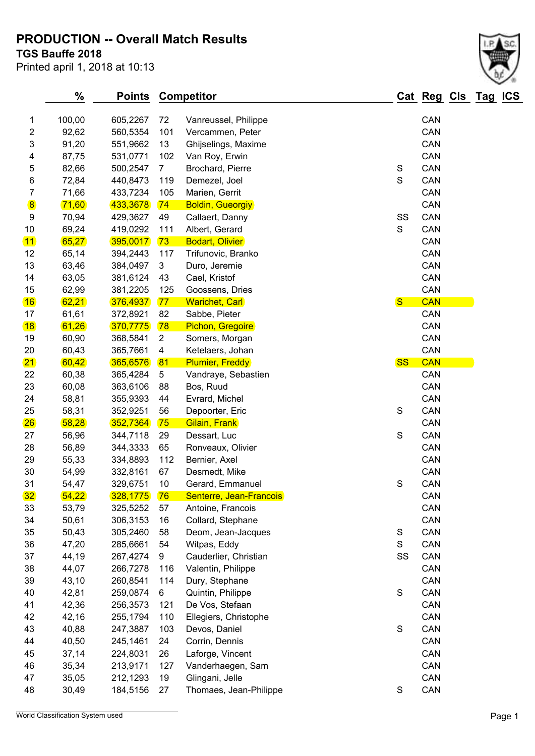## **PRODUCTION -- Overall Match Results**

**TGS Bauffe 2018**

| Printed april 1, 2018 at 10:13 |  |  |  |  |  |
|--------------------------------|--|--|--|--|--|
|--------------------------------|--|--|--|--|--|

| <b>Bauffe 2018</b> | d april 1, 2018 at 10:13 |      |                          |   |            |                     |
|--------------------|--------------------------|------|--------------------------|---|------------|---------------------|
| $\%$               |                          |      | <b>Points Competitor</b> |   |            | Cat Reg Cls Tag ICS |
| 100,00             | 605.2267                 | - 72 | Vanreussel, Philippe     |   | CAN        |                     |
| 92,62              | 560,5354                 | 101  | Vercammen, Peter         |   | <b>CAN</b> |                     |
| 91,20              | 551,9662                 | 13   | Ghijselings, Maxime      |   | <b>CAN</b> |                     |
| 87,75              | 531,0771                 | 102  | Van Roy, Erwin           |   | CAN        |                     |
| 926                |                          |      | <b>Brochard Diarro</b>   | c | CAN        |                     |

| 1                | 100,00   | 605,2267    | 72             | Vanreussel, Philippe    |               | CAN        |
|------------------|----------|-------------|----------------|-------------------------|---------------|------------|
| $\overline{c}$   | 92,62    | 560,5354    | 101            | Vercammen, Peter        |               | CAN        |
| 3                | 91,20    | 551,9662    | 13             | Ghijselings, Maxime     |               | CAN        |
| 4                | 87,75    | 531,0771    | 102            | Van Roy, Erwin          |               | CAN        |
| 5                | 82,66    | 500,2547    | $\overline{7}$ | Brochard, Pierre        | ${\sf S}$     | CAN        |
| 6                | 72,84    | 440,8473    | 119            | Demezel, Joel           | S             | CAN        |
| 7                | 71,66    | 433,7234    | 105            | Marien, Gerrit          |               | CAN        |
| $\bf{8}$         | (71, 60) | 433,3678    | 74             | <b>Boldin, Gueorgiy</b> |               | CAN        |
| $\boldsymbol{9}$ | 70,94    | 429,3627    | 49             | Callaert, Danny         | SS            | CAN        |
| $10$             | 69,24    | 419,0292    | 111            | Albert, Gerard          | S             | CAN        |
| $\overline{11}$  | 65,27    | 395,0017    | 73             | <b>Bodart, Olivier</b>  |               | CAN        |
| 12               | 65,14    | 394,2443    | 117            | Trifunovic, Branko      |               | CAN        |
| 13               | 63,46    | 384,0497    | 3              | Duro, Jeremie           |               | CAN        |
| 14               | 63,05    | 381,6124    | 43             | Cael, Kristof           |               | CAN        |
|                  |          |             |                |                         |               |            |
| 15               | 62,99    | 381,2205    | 125            | Goossens, Dries         |               | CAN        |
| 16               | 62,21    | (376, 4937) | 77             | <b>Warichet, Carl</b>   | $\mathbf{s}$  | <b>CAN</b> |
| 17               | 61,61    | 372,8921    | 82             | Sabbe, Pieter           |               | CAN        |
| 18               | 61,26    | 370,7775    | 78             | <b>Pichon, Gregoire</b> |               | CAN        |
| 19               | 60,90    | 368,5841    | $\overline{c}$ | Somers, Morgan          |               | CAN        |
| 20               | 60,43    | 365,7661    | 4              | Ketelaers, Johan        |               | CAN        |
| 21               | 60,42    | 365,6576    | 81             | <b>Plumier, Freddy</b>  | <b>SS</b>     | <b>CAN</b> |
| 22               | 60,38    | 365,4284    | 5              | Vandraye, Sebastien     |               | CAN        |
| 23               | 60,08    | 363,6106    | 88             | Bos, Ruud               |               | CAN        |
| 24               | 58,81    | 355,9393    | 44             | Evrard, Michel          |               | CAN        |
| 25               | 58,31    | 352,9251    | 56             | Depoorter, Eric         | $\mathbf S$   | CAN        |
| 26               | 58,28    | 352,7364    | 75             | <b>Gilain, Frank</b>    |               | CAN        |
| 27               | 56,96    | 344,7118    | 29             | Dessart, Luc            | $\mathbf S$   | CAN        |
| 28               | 56,89    | 344,3333    | 65             | Ronveaux, Olivier       |               | CAN        |
| 29               | 55,33    | 334,8893    | 112            | Bernier, Axel           |               | CAN        |
| 30               | 54,99    | 332,8161    | 67             | Desmedt, Mike           |               | CAN        |
| 31               | 54,47    | 329,6751    | 10             | Gerard, Emmanuel        | S             | CAN        |
| 32 <sub>2</sub>  | 54,22    | 328,1775    | 76             | Senterre, Jean-Francois |               | CAN        |
| 33               | 53,79    | 325,5252    | 57             | Antoine, Francois       |               | CAN        |
| 34               | 50,61    | 306,3153    | 16             | Collard, Stephane       |               | CAN        |
| 35               | 50,43    | 305,2460    | 58             | Deom, Jean-Jacques      | ${\mathsf S}$ | CAN        |
| 36               | 47,20    | 285,6661    | 54             | Witpas, Eddy            | S             | CAN        |
| 37               | 44,19    | 267,4274    | 9              | Cauderlier, Christian   | SS            | CAN        |
| 38               | 44,07    | 266,7278    | 116            | Valentin, Philippe      |               | CAN        |
| 39               | 43,10    | 260,8541    | 114            | Dury, Stephane          |               | CAN        |
| 40               | 42,81    | 259,0874    | 6              | Quintin, Philippe       | ${\mathsf S}$ | CAN        |
| 41               | 42,36    | 256,3573    | 121            | De Vos, Stefaan         |               | CAN        |
| 42               | 42,16    | 255,1794    | 110            | Ellegiers, Christophe   |               | CAN        |
| 43               | 40,88    | 247,3887    | 103            | Devos, Daniel           | ${\mathsf S}$ | CAN        |
| 44               | 40,50    | 245,1461    | 24             | Corrin, Dennis          |               | CAN        |
| 45               | 37,14    | 224,8031    | 26             | Laforge, Vincent        |               | CAN        |
| 46               | 35,34    | 213,9171    | 127            | Vanderhaegen, Sam       |               | CAN        |
| 47               | 35,05    | 212,1293    | 19             | Glingani, Jelle         |               | CAN        |
| 48               | 30,49    | 184,5156    | 27             | Thomaes, Jean-Philippe  | ${\mathsf S}$ | CAN        |
|                  |          |             |                |                         |               |            |

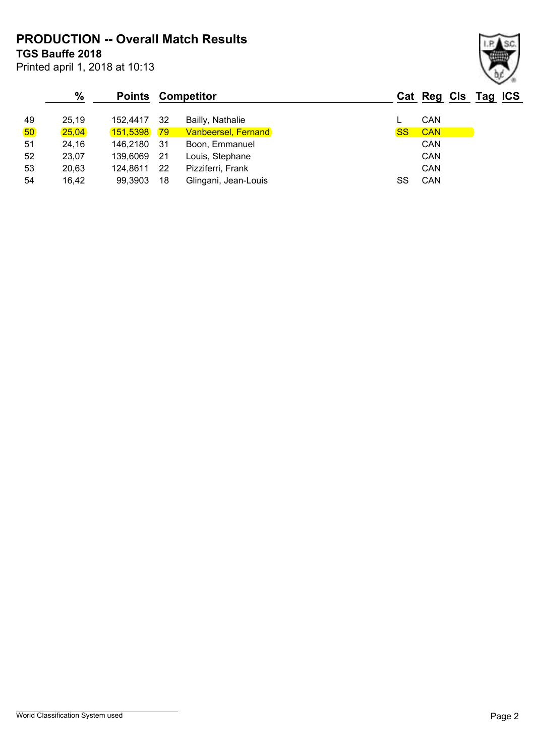**PRODUCTION -- Overall Match Results**

**TGS Bauffe 2018**

Printed april 1, 2018 at 10:13

|                 | $\%$  |                 |     | <b>Points Competitor</b>   |           | Cat Reg Cls Tag ICS |  |  |
|-----------------|-------|-----------------|-----|----------------------------|-----------|---------------------|--|--|
| 49              | 25,19 | 152.4417        | 32  | Bailly, Nathalie           |           | CAN                 |  |  |
| 50 <sub>o</sub> | 25,04 | <b>151,5398</b> | 79  | <b>Vanbeersel, Fernand</b> | <b>SS</b> | <b>CAN</b>          |  |  |
| 51              | 24,16 | 146,2180        | -31 | Boon, Emmanuel             |           | CAN                 |  |  |
| 52              | 23,07 | 139,6069        | -21 | Louis, Stephane            |           | CAN                 |  |  |
| 53              | 20,63 | 124.8611        | 22  | Pizziferri, Frank          |           | CAN                 |  |  |
| 54              | 16,42 | 99,3903         | 18  | Glingani, Jean-Louis       | SS        | CAN                 |  |  |

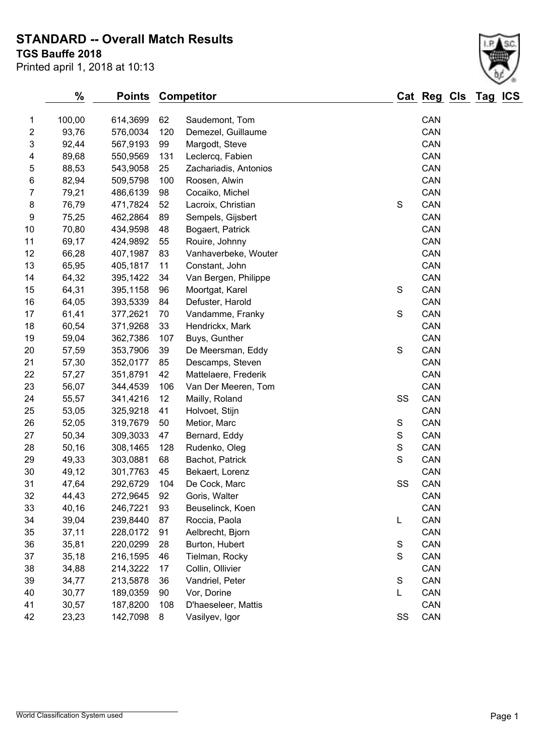## **STANDARD -- Overall Match Results**

**TGS Bauffe 2018**

| Printed april 1, 2018 at 10:13 |  |  |  |  |  |
|--------------------------------|--|--|--|--|--|
|--------------------------------|--|--|--|--|--|

|                          | %      | <b>Points</b> | <b>Competitor</b> |                       |               | Cat Reg Cls Tag |  | <b>ICS</b> |
|--------------------------|--------|---------------|-------------------|-----------------------|---------------|-----------------|--|------------|
| 1                        | 100,00 | 614,3699      | 62                | Saudemont, Tom        |               | CAN             |  |            |
| 2                        | 93,76  | 576,0034      | 120               | Demezel, Guillaume    |               | CAN             |  |            |
| 3                        | 92,44  | 567,9193      | 99                | Margodt, Steve        |               | CAN             |  |            |
| $\overline{\mathcal{A}}$ | 89,68  | 550,9569      | 131               | Leclercq, Fabien      |               | CAN             |  |            |
| 5                        | 88,53  | 543,9058      | 25                | Zachariadis, Antonios |               | CAN             |  |            |
| 6                        | 82,94  | 509,5798      | 100               | Roosen, Alwin         |               | CAN             |  |            |
| 7                        | 79,21  | 486,6139      | 98                | Cocaiko, Michel       |               | CAN             |  |            |
| $\bf 8$                  | 76,79  | 471,7824      | 52                | Lacroix, Christian    | S             | CAN             |  |            |
| 9                        | 75,25  | 462,2864      | 89                | Sempels, Gijsbert     |               | CAN             |  |            |
| 10                       | 70,80  | 434,9598      | 48                | Bogaert, Patrick      |               | CAN             |  |            |
| 11                       | 69,17  | 424,9892      | 55                | Rouire, Johnny        |               | CAN             |  |            |
| 12                       | 66,28  | 407,1987      | 83                | Vanhaverbeke, Wouter  |               | CAN             |  |            |
| 13                       | 65,95  | 405,1817      | 11                | Constant, John        |               | CAN             |  |            |
| 14                       | 64,32  | 395,1422      | 34                | Van Bergen, Philippe  |               | CAN             |  |            |
| 15                       | 64,31  | 395,1158      | 96                | Moortgat, Karel       | S             | CAN             |  |            |
| 16                       | 64,05  | 393,5339      | 84                | Defuster, Harold      |               | CAN             |  |            |
| 17                       | 61,41  | 377,2621      | 70                | Vandamme, Franky      | S             | CAN             |  |            |
| 18                       | 60,54  | 371,9268      | 33                | Hendrickx, Mark       |               | CAN             |  |            |
| 19                       | 59,04  | 362,7386      | 107               | Buys, Gunther         |               | CAN             |  |            |
| 20                       | 57,59  | 353,7906      | 39                | De Meersman, Eddy     | S             | CAN             |  |            |
| 21                       | 57,30  | 352,0177      | 85                | Descamps, Steven      |               | CAN             |  |            |
| 22                       | 57,27  | 351,8791      | 42                | Mattelaere, Frederik  |               | CAN             |  |            |
| 23                       | 56,07  | 344,4539      | 106               | Van Der Meeren, Tom   |               | CAN             |  |            |
| 24                       | 55,57  | 341,4216      | 12                | Mailly, Roland        | SS            | CAN             |  |            |
| 25                       | 53,05  | 325,9218      | 41                | Holvoet, Stijn        |               | CAN             |  |            |
| 26                       | 52,05  | 319,7679      | 50                | Metior, Marc          | S             | CAN             |  |            |
| 27                       | 50,34  | 309,3033      | 47                | Bernard, Eddy         | $\mathbb S$   | CAN             |  |            |
| 28                       | 50,16  | 308,1465      | 128               | Rudenko, Oleg         | ${\mathsf S}$ | CAN             |  |            |
| 29                       | 49,33  | 303,0881      | 68                | Bachot, Patrick       | S             | CAN             |  |            |
| 30                       | 49,12  | 301,7763      | 45                | Bekaert, Lorenz       |               | CAN             |  |            |
| 31                       | 47,64  | 292,6729      | 104               | De Cock, Marc         | SS            | CAN             |  |            |
| 32                       | 44,43  | 272,9645      | 92                | Goris, Walter         |               | CAN             |  |            |
| 33                       | 40,16  | 246,7221      | 93                | Beuselinck, Koen      |               | CAN             |  |            |
| 34                       | 39,04  | 239,8440      | 87                | Roccia, Paola         | L             | CAN             |  |            |
| 35                       | 37,11  | 228,0172      | 91                | Aelbrecht, Bjorn      |               | CAN             |  |            |
| 36                       | 35,81  | 220,0299      | 28                | Burton, Hubert        | S             | CAN             |  |            |
| 37                       | 35,18  | 216,1595      | 46                | Tielman, Rocky        | S             | CAN             |  |            |
| 38                       | 34,88  | 214,3222      | 17                | Collin, Ollivier      |               | CAN             |  |            |
| 39                       | 34,77  | 213,5878      | 36                | Vandriel, Peter       | $\mathsf S$   | CAN             |  |            |
| 40                       | 30,77  | 189,0359      | 90                | Vor, Dorine           | L             | CAN             |  |            |
| 41                       | 30,57  | 187,8200      | 108               | D'haeseleer, Mattis   |               | CAN             |  |            |
| 42                       | 23,23  | 142,7098      | 8                 | Vasilyev, Igor        | SS            | CAN             |  |            |
|                          |        |               |                   |                       |               |                 |  |            |